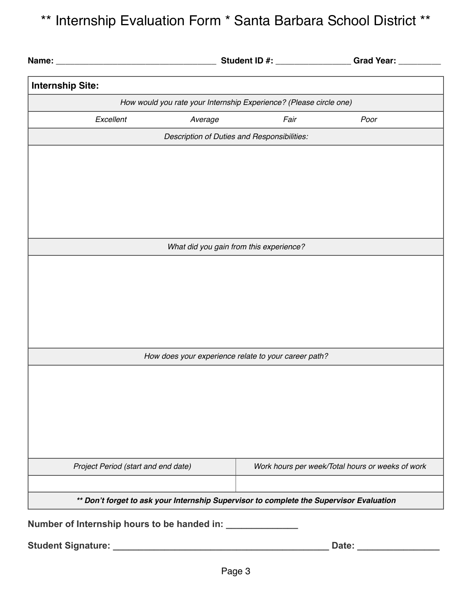## \*\* Internship Evaluation Form \* Santa Barbara School District \*\*

|                                                                                         |                                                           |                                                      | Student ID #: __________________Grad Year: _________ |  |  |
|-----------------------------------------------------------------------------------------|-----------------------------------------------------------|------------------------------------------------------|------------------------------------------------------|--|--|
| <b>Internship Site:</b>                                                                 |                                                           |                                                      |                                                      |  |  |
| How would you rate your Internship Experience? (Please circle one)                      |                                                           |                                                      |                                                      |  |  |
| Excellent                                                                               | Average                                                   | Fair                                                 | Poor                                                 |  |  |
| Description of Duties and Responsibilities:                                             |                                                           |                                                      |                                                      |  |  |
|                                                                                         |                                                           |                                                      |                                                      |  |  |
|                                                                                         |                                                           |                                                      |                                                      |  |  |
|                                                                                         |                                                           |                                                      |                                                      |  |  |
|                                                                                         |                                                           |                                                      |                                                      |  |  |
|                                                                                         |                                                           |                                                      |                                                      |  |  |
|                                                                                         |                                                           | What did you gain from this experience?              |                                                      |  |  |
|                                                                                         |                                                           |                                                      |                                                      |  |  |
|                                                                                         |                                                           |                                                      |                                                      |  |  |
|                                                                                         |                                                           |                                                      |                                                      |  |  |
|                                                                                         |                                                           |                                                      |                                                      |  |  |
|                                                                                         |                                                           |                                                      |                                                      |  |  |
|                                                                                         |                                                           | How does your experience relate to your career path? |                                                      |  |  |
|                                                                                         |                                                           |                                                      |                                                      |  |  |
|                                                                                         |                                                           |                                                      |                                                      |  |  |
|                                                                                         |                                                           |                                                      |                                                      |  |  |
|                                                                                         |                                                           |                                                      |                                                      |  |  |
|                                                                                         |                                                           |                                                      |                                                      |  |  |
| Project Period (start and end date)                                                     |                                                           |                                                      | Work hours per week/Total hours or weeks of work     |  |  |
|                                                                                         |                                                           |                                                      |                                                      |  |  |
| ** Don't forget to ask your Internship Supervisor to complete the Supervisor Evaluation |                                                           |                                                      |                                                      |  |  |
|                                                                                         | Number of Internship hours to be handed in: _____________ |                                                      |                                                      |  |  |
|                                                                                         |                                                           |                                                      |                                                      |  |  |
|                                                                                         |                                                           |                                                      |                                                      |  |  |